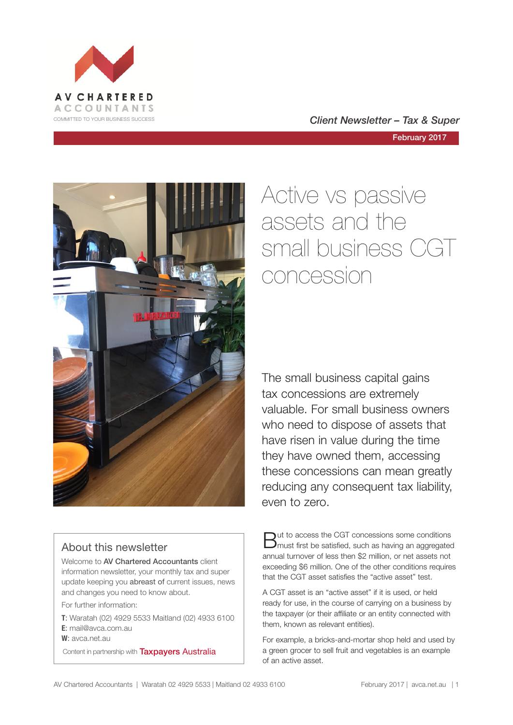

COMMITTED TO YOUR BUSINESS SUCCESS **COMMITTED TO YOUR BUSINESS SUCCESS** 

February 2017



### About this newsletter

Welcome to AV Chartered Accountants client information newsletter, your monthly tax and super update keeping you abreast of current issues, news and changes you need to know about.

For further information:

**T**: Waratah (02) 4929 5533 Maitland (02) 4933 6100 **E**: mail@avca.com.au

**W**: avca.net.au

Content in partnership with **Taxpayers Australia** 

# Active vs passive assets and the small business CGT concession

The small business capital gains tax concessions are extremely valuable. For small business owners who need to dispose of assets that have risen in value during the time they have owned them, accessing these concessions can mean greatly reducing any consequent tax liability, even to zero.

But to access the CGT concessions some conditions must first be satisfied, such as having an aggregated annual turnover of less then \$2 million, or net assets not exceeding \$6 million. One of the other conditions requires that the CGT asset satisfies the "active asset" test.

A CGT asset is an "active asset" if it is used, or held ready for use, in the course of carrying on a business by the taxpayer (or their affiliate or an entity connected with them, known as relevant entities).

For example, a bricks-and-mortar shop held and used by a green grocer to sell fruit and vegetables is an example of an active asset.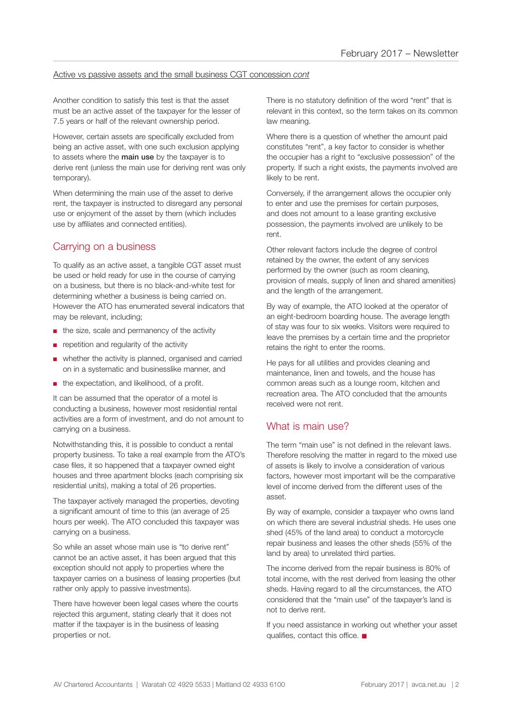#### Active vs passive assets and the small business CGT concession *cont*

Another condition to satisfy this test is that the asset must be an active asset of the taxpayer for the lesser of 7.5 years or half of the relevant ownership period.

However, certain assets are specifically excluded from being an active asset, with one such exclusion applying to assets where the **main use** by the taxpayer is to derive rent (unless the main use for deriving rent was only temporary).

When determining the main use of the asset to derive rent, the taxpayer is instructed to disregard any personal use or enjoyment of the asset by them (which includes use by affiliates and connected entities).

### Carrying on a business

To qualify as an active asset, a tangible CGT asset must be used or held ready for use in the course of carrying on a business, but there is no black-and-white test for determining whether a business is being carried on. However the ATO has enumerated several indicators that may be relevant, including;

- the size, scale and permanency of the activity
- repetition and regularity of the activity
- whether the activity is planned, organised and carried on in a systematic and businesslike manner, and
- the expectation, and likelihood, of a profit.

It can be assumed that the operator of a motel is conducting a business, however most residential rental activities are a form of investment, and do not amount to carrying on a business.

Notwithstanding this, it is possible to conduct a rental property business. To take a real example from the ATO's case files, it so happened that a taxpayer owned eight houses and three apartment blocks (each comprising six residential units), making a total of 26 properties.

The taxpayer actively managed the properties, devoting a significant amount of time to this (an average of 25 hours per week). The ATO concluded this taxpayer was carrying on a business.

So while an asset whose main use is "to derive rent" cannot be an active asset, it has been argued that this exception should not apply to properties where the taxpayer carries on a business of leasing properties (but rather only apply to passive investments).

There have however been legal cases where the courts rejected this argument, stating clearly that it does not matter if the taxpayer is in the business of leasing properties or not.

There is no statutory definition of the word "rent" that is relevant in this context, so the term takes on its common law meaning.

Where there is a question of whether the amount paid constitutes "rent", a key factor to consider is whether the occupier has a right to "exclusive possession" of the property. If such a right exists, the payments involved are likely to be rent.

Conversely, if the arrangement allows the occupier only to enter and use the premises for certain purposes, and does not amount to a lease granting exclusive possession, the payments involved are unlikely to be rent.

Other relevant factors include the degree of control retained by the owner, the extent of any services performed by the owner (such as room cleaning, provision of meals, supply of linen and shared amenities) and the length of the arrangement.

By way of example, the ATO looked at the operator of an eight-bedroom boarding house. The average length of stay was four to six weeks. Visitors were required to leave the premises by a certain time and the proprietor retains the right to enter the rooms.

He pays for all utilities and provides cleaning and maintenance, linen and towels, and the house has common areas such as a lounge room, kitchen and recreation area. The ATO concluded that the amounts received were not rent.

### What is main use?

The term "main use" is not defined in the relevant laws. Therefore resolving the matter in regard to the mixed use of assets is likely to involve a consideration of various factors, however most important will be the comparative level of income derived from the different uses of the asset.

By way of example, consider a taxpayer who owns land on which there are several industrial sheds. He uses one shed (45% of the land area) to conduct a motorcycle repair business and leases the other sheds (55% of the land by area) to unrelated third parties.

The income derived from the repair business is 80% of total income, with the rest derived from leasing the other sheds. Having regard to all the circumstances, the ATO considered that the "main use" of the taxpayer's land is not to derive rent.

If you need assistance in working out whether your asset qualifies, contact this office.  $\blacksquare$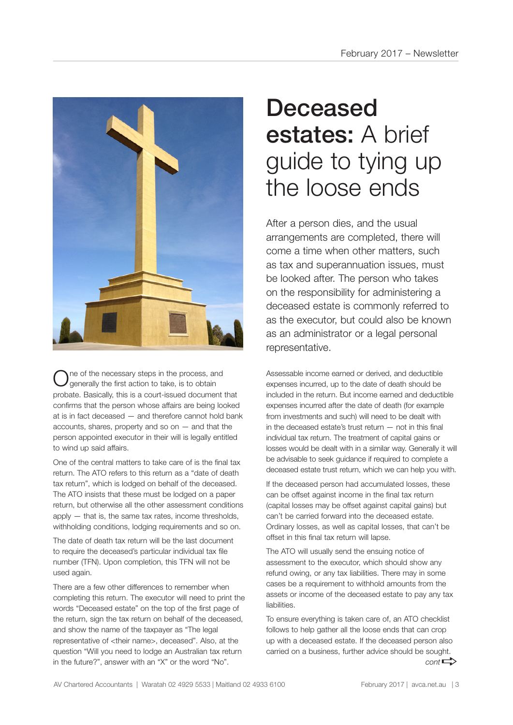

ne of the necessary steps in the process, and generally the first action to take, is to obtain probate. Basically, this is a court-issued document that confirms that the person whose affairs are being looked at is in fact deceased — and therefore cannot hold bank accounts, shares, property and so on  $-$  and that the person appointed executor in their will is legally entitled to wind up said affairs.

One of the central matters to take care of is the final tax return. The ATO refers to this return as a "date of death tax return", which is lodged on behalf of the deceased. The ATO insists that these must be lodged on a paper return, but otherwise all the other assessment conditions apply — that is, the same tax rates, income thresholds, withholding conditions, lodging requirements and so on.

The date of death tax return will be the last document to require the deceased's particular individual tax file number (TFN). Upon completion, this TFN will not be used again.

There are a few other differences to remember when completing this return. The executor will need to print the words "Deceased estate" on the top of the first page of the return, sign the tax return on behalf of the deceased, and show the name of the taxpayer as "The legal representative of <their name>, deceased". Also, at the question "Will you need to lodge an Australian tax return in the future?", answer with an "X" or the word "No".

# Deceased estates: A brief guide to tying up the loose ends

After a person dies, and the usual arrangements are completed, there will come a time when other matters, such as tax and superannuation issues, must be looked after. The person who takes on the responsibility for administering a deceased estate is commonly referred to as the executor, but could also be known as an administrator or a legal personal representative.

Assessable income earned or derived, and deductible expenses incurred, up to the date of death should be included in the return. But income earned and deductible expenses incurred after the date of death (for example from investments and such) will need to be dealt with in the deceased estate's trust return — not in this final individual tax return. The treatment of capital gains or losses would be dealt with in a similar way. Generally it will be advisable to seek guidance if required to complete a deceased estate trust return, which we can help you with.

If the deceased person had accumulated losses, these can be offset against income in the final tax return (capital losses may be offset against capital gains) but can't be carried forward into the deceased estate. Ordinary losses, as well as capital losses, that can't be offset in this final tax return will lapse.

The ATO will usually send the ensuing notice of assessment to the executor, which should show any refund owing, or any tax liabilities. There may in some cases be a requirement to withhold amounts from the assets or income of the deceased estate to pay any tax liabilities.

To ensure everything is taken care of, an ATO checklist follows to help gather all the loose ends that can crop up with a deceased estate. If the deceased person also carried on a business, further advice should be sought.  $cont \rightarrow$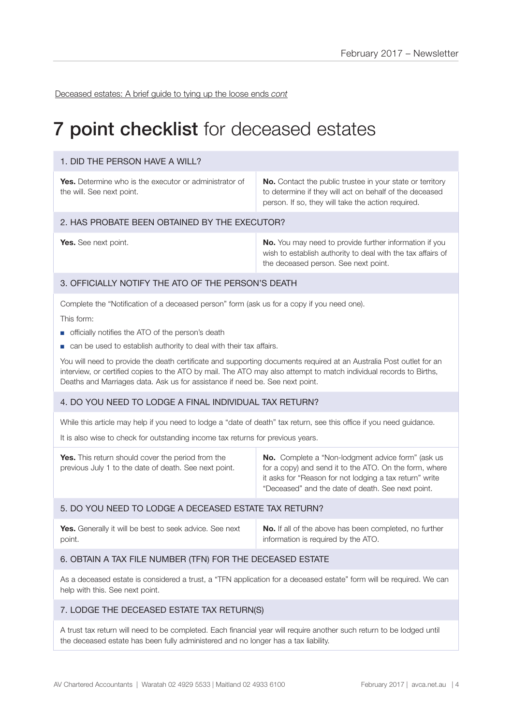Deceased estates: A brief guide to tying up the loose ends *cont*

## **7 point checklist** for deceased estates

#### 1. DID THE PERSON HAVE A WILL?

**Yes.** Determine who is the executor or administrator of the will. See next point.

**No.** Contact the public trustee in your state or territory to determine if they will act on behalf of the deceased person. If so, they will take the action required.

#### 2. HAS PROBATE BEEN OBTAINED BY THE EXECUTOR?

**Yes.** See next point. **No. No.** You may need to provide further information if you wish to establish authority to deal with the tax affairs of the deceased person. See next point.

#### 3. OFFICIALLY NOTIFY THE ATO OF THE PERSON'S DEATH

Complete the "Notification of a deceased person" form (ask us for a copy if you need one).

This form:

- officially notifies the ATO of the person's death
- can be used to establish authority to deal with their tax affairs.

You will need to provide the death certificate and supporting documents required at an Australia Post outlet for an interview, or certified copies to the ATO by mail. The ATO may also attempt to match individual records to Births, Deaths and Marriages data. Ask us for assistance if need be. See next point.

#### 4. DO YOU NEED TO LODGE A FINAL INDIVIDUAL TAX RETURN?

While this article may help if you need to lodge a "date of death" tax return, see this office if you need guidance.

It is also wise to check for outstanding income tax returns for previous years.

| <b>No.</b> Complete a "Non-lodgment advice form" (ask us<br><b>Yes.</b> This return should cover the period from the<br>for a copy) and send it to the ATO. On the form, where<br>previous July 1 to the date of death. See next point.<br>it asks for "Reason for not lodging a tax return" write<br>"Deceased" and the date of death. See next point. |
|---------------------------------------------------------------------------------------------------------------------------------------------------------------------------------------------------------------------------------------------------------------------------------------------------------------------------------------------------------|
|---------------------------------------------------------------------------------------------------------------------------------------------------------------------------------------------------------------------------------------------------------------------------------------------------------------------------------------------------------|

#### 5. DO YOU NEED TO LODGE A DECEASED ESTATE TAX RETURN?

| Yes. Generally it will be best to seek advice. See next | <b>No.</b> If all of the above has been completed, no further |
|---------------------------------------------------------|---------------------------------------------------------------|
| point.                                                  | information is required by the ATO.                           |

#### 6. OBTAIN A TAX FILE NUMBER (TFN) FOR THE DECEASED ESTATE

As a deceased estate is considered a trust, a "TFN application for a deceased estate" form will be required. We can help with this. See next point.

#### 7. LODGE THE DECEASED ESTATE TAX RETURN(S)

A trust tax return will need to be completed. Each financial year will require another such return to be lodged until the deceased estate has been fully administered and no longer has a tax liability.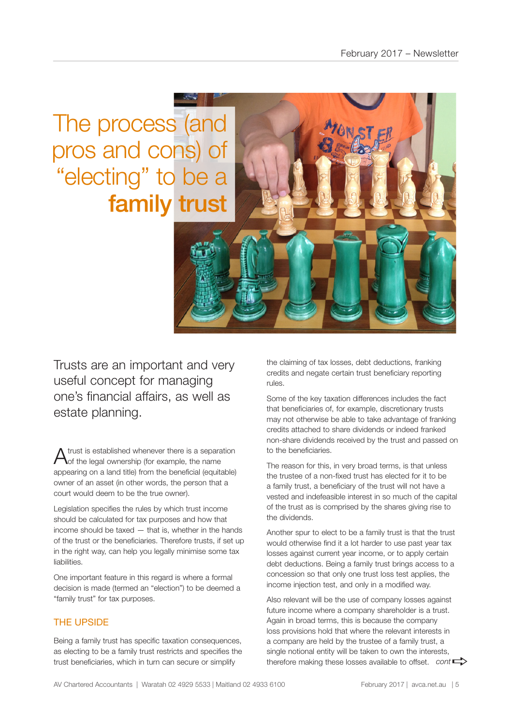The process (and pros and cons) of "electing" to be a family trust

Trusts are an important and very useful concept for managing one's financial affairs, as well as estate planning.

A trust is established whenever there is a separation of the legal ownership (for example, the name appearing on a land title) from the beneficial (equitable) owner of an asset (in other words, the person that a court would deem to be the true owner).

Legislation specifies the rules by which trust income should be calculated for tax purposes and how that income should be taxed — that is, whether in the hands of the trust or the beneficiaries. Therefore trusts, if set up in the right way, can help you legally minimise some tax liabilities.

One important feature in this regard is where a formal decision is made (termed an "election") to be deemed a "family trust" for tax purposes.

### THE UPSIDE

Being a family trust has specific taxation consequences, as electing to be a family trust restricts and specifies the trust beneficiaries, which in turn can secure or simplify

the claiming of tax losses, debt deductions, franking credits and negate certain trust beneficiary reporting rules.

Some of the key taxation differences includes the fact that beneficiaries of, for example, discretionary trusts may not otherwise be able to take advantage of franking credits attached to share dividends or indeed franked non-share dividends received by the trust and passed on to the beneficiaries.

The reason for this, in very broad terms, is that unless the trustee of a non-fixed trust has elected for it to be a family trust, a beneficiary of the trust will not have a vested and indefeasible interest in so much of the capital of the trust as is comprised by the shares giving rise to the dividends.

Another spur to elect to be a family trust is that the trust would otherwise find it a lot harder to use past year tax losses against current year income, or to apply certain debt deductions. Being a family trust brings access to a concession so that only one trust loss test applies, the income injection test, and only in a modified way.

Also relevant will be the use of company losses against future income where a company shareholder is a trust. Again in broad terms, this is because the company loss provisions hold that where the relevant interests in a company are held by the trustee of a family trust, a single notional entity will be taken to own the interests, single notional entity will be taken to own the interests,<br>therefore making these losses available to offset. *cont*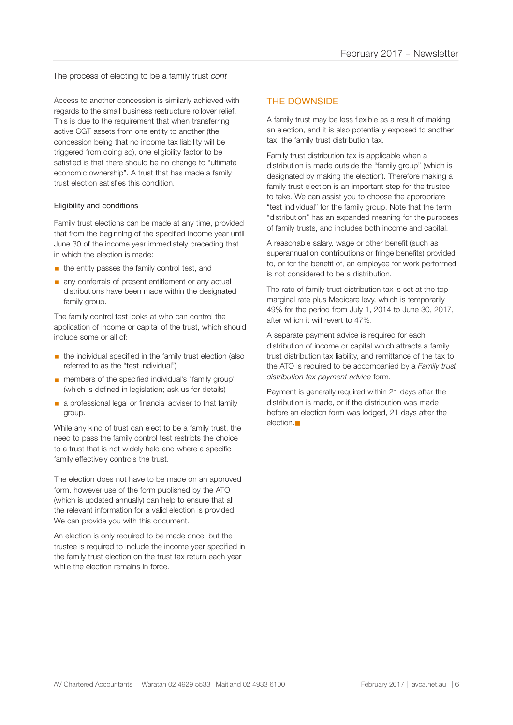#### The process of electing to be a family trust *cont*

Access to another concession is similarly achieved with regards to the small business restructure rollover relief. This is due to the requirement that when transferring active CGT assets from one entity to another (the concession being that no income tax liability will be triggered from doing so), one eligibility factor to be satisfied is that there should be no change to "ultimate economic ownership". A trust that has made a family trust election satisfies this condition.

#### Eligibility and conditions

Family trust elections can be made at any time, provided that from the beginning of the specified income year until June 30 of the income year immediately preceding that in which the election is made:

- $\blacksquare$  the entity passes the family control test, and
- **any conferrals of present entitlement or any actual** distributions have been made within the designated family group.

The family control test looks at who can control the application of income or capital of the trust, which should include some or all of:

- **•** the individual specified in the family trust election (also referred to as the "test individual")
- members of the specified individual's "family group" (which is defined in legislation; ask us for details)
- **a** a professional legal or financial adviser to that family group.

While any kind of trust can elect to be a family trust, the need to pass the family control test restricts the choice to a trust that is not widely held and where a specific family effectively controls the trust.

The election does not have to be made on an approved form, however use of the form published by the ATO (which is updated annually) can help to ensure that all the relevant information for a valid election is provided. We can provide you with this document.

An election is only required to be made once, but the trustee is required to include the income year specified in the family trust election on the trust tax return each year while the election remains in force.

#### THE DOWNSIDE

A family trust may be less flexible as a result of making an election, and it is also potentially exposed to another tax, the family trust distribution tax.

Family trust distribution tax is applicable when a distribution is made outside the "family group" (which is designated by making the election). Therefore making a family trust election is an important step for the trustee to take. We can assist you to choose the appropriate "test individual" for the family group. Note that the term "distribution" has an expanded meaning for the purposes of family trusts, and includes both income and capital.

A reasonable salary, wage or other benefit (such as superannuation contributions or fringe benefits) provided to, or for the benefit of, an employee for work performed is not considered to be a distribution.

The rate of family trust distribution tax is set at the top marginal rate plus Medicare levy, which is temporarily 49% for the period from July 1, 2014 to June 30, 2017, after which it will revert to 47%.

A separate payment advice is required for each distribution of income or capital which attracts a family trust distribution tax liability, and remittance of the tax to the ATO is required to be accompanied by a *Family trust distribution tax payment advice* form*.*

Payment is generally required within 21 days after the distribution is made, or if the distribution was made before an election form was lodged, 21 days after the  $e$ lection. $\blacksquare$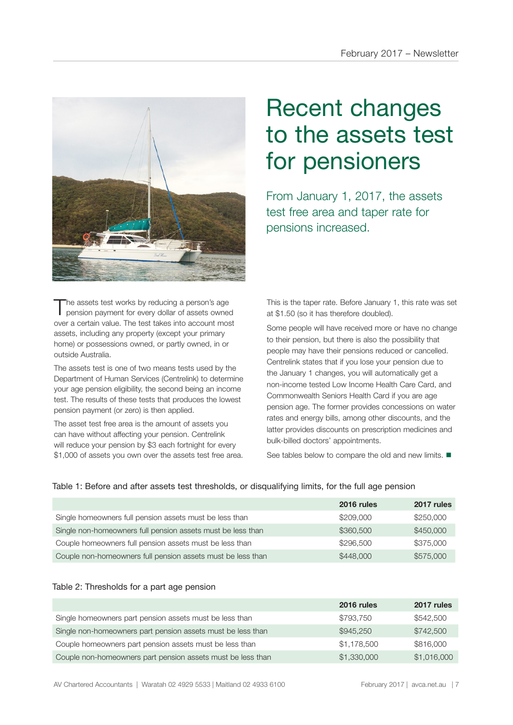

The assets test works by reducing a person's age<br>pension payment for every dollar of assets owned over a certain value. The test takes into account most assets, including any property (except your primary home) or possessions owned, or partly owned, in or outside Australia.

The assets test is one of two means tests used by the Department of Human Services (Centrelink) to determine your age pension eligibility, the second being an income test. The results of these tests that produces the lowest pension payment (or zero) is then applied.

The asset test free area is the amount of assets you can have without affecting your pension. Centrelink will reduce your pension by \$3 each fortnight for every \$1,000 of assets you own over the assets test free area.

# Recent changes to the assets test for pensioners

From January 1, 2017, the assets test free area and taper rate for pensions increased.

This is the taper rate. Before January 1, this rate was set at \$1.50 (so it has therefore doubled).

Some people will have received more or have no change to their pension, but there is also the possibility that people may have their pensions reduced or cancelled. Centrelink states that if you lose your pension due to the January 1 changes, you will automatically get a non-income tested Low Income Health Care Card, and Commonwealth Seniors Health Card if you are age pension age. The former provides concessions on water rates and energy bills, among other discounts, and the latter provides discounts on prescription medicines and bulk-billed doctors' appointments.

See tables below to compare the old and new limits.  $\blacksquare$ 

|  |  |  |  | Table 1: Before and after assets test thresholds, or disqualifying limits, for the full age pension |
|--|--|--|--|-----------------------------------------------------------------------------------------------------|
|  |  |  |  |                                                                                                     |

|                                                             | 2016 rules | 2017 rules |
|-------------------------------------------------------------|------------|------------|
| Single homeowners full pension assets must be less than     | \$209,000  | \$250,000  |
| Single non-homeowners full pension assets must be less than | \$360,500  | \$450,000  |
| Couple homeowners full pension assets must be less than     | \$296,500  | \$375,000  |
| Couple non-homeowners full pension assets must be less than | \$448,000  | \$575,000  |

#### Table 2: Thresholds for a part age pension

|                                                             | 2016 rules  | 2017 rules  |
|-------------------------------------------------------------|-------------|-------------|
| Single homeowners part pension assets must be less than     | \$793.750   | \$542,500   |
| Single non-homeowners part pension assets must be less than | \$945,250   | \$742,500   |
| Couple homeowners part pension assets must be less than     | \$1,178,500 | \$816,000   |
| Couple non-homeowners part pension assets must be less than | \$1,330,000 | \$1,016,000 |